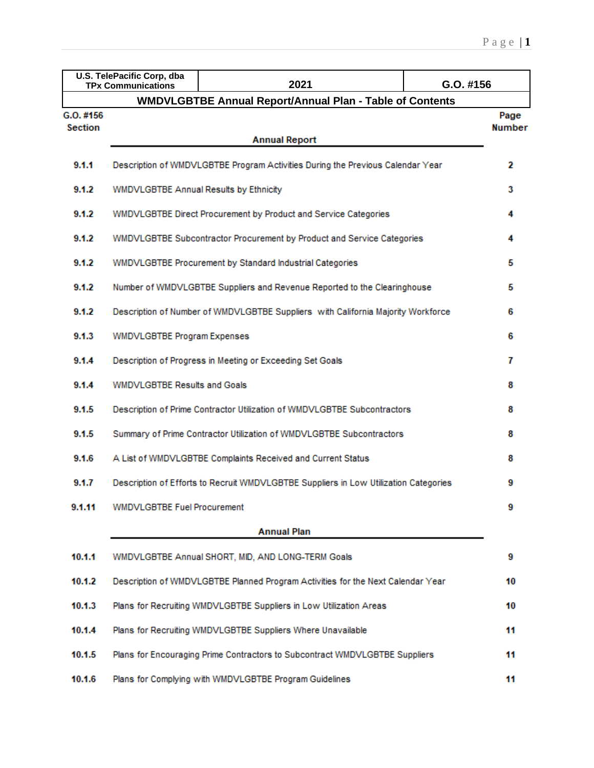|                | U.S. TelePacific Corp, dba<br><b>TPx Communications</b>                        | 2021                                                                                 | G.O. #156             |  |  |  |  |  |  |  |
|----------------|--------------------------------------------------------------------------------|--------------------------------------------------------------------------------------|-----------------------|--|--|--|--|--|--|--|
|                |                                                                                | <b>WMDVLGBTBE Annual Report/Annual Plan - Table of Contents</b>                      |                       |  |  |  |  |  |  |  |
| G.O. #156      |                                                                                |                                                                                      | Page<br><b>Number</b> |  |  |  |  |  |  |  |
| <b>Section</b> |                                                                                | <b>Annual Report</b>                                                                 |                       |  |  |  |  |  |  |  |
| 9.1.1          | Description of WMDVLGBTBE Program Activities During the Previous Calendar Year |                                                                                      |                       |  |  |  |  |  |  |  |
| 9.1.2          | WMDVLGBTBE Annual Results by Ethnicity                                         |                                                                                      | 3                     |  |  |  |  |  |  |  |
| 9.1.2          |                                                                                | WMDVLGBTBE Direct Procurement by Product and Service Categories                      | 4                     |  |  |  |  |  |  |  |
| 9.1.2          |                                                                                | WMDVLGBTBE Subcontractor Procurement by Product and Service Categories               | 4                     |  |  |  |  |  |  |  |
| 9.1.2          |                                                                                | WMDVLGBTBE Procurement by Standard Industrial Categories                             | 5                     |  |  |  |  |  |  |  |
| 9.1.2          |                                                                                | Number of WMDVLGBTBE Suppliers and Revenue Reported to the Clearinghouse             | 5                     |  |  |  |  |  |  |  |
| 9.1.2          |                                                                                | Description of Number of WMDVLGBTBE Suppliers with California Majority Workforce     | 6                     |  |  |  |  |  |  |  |
| 9.1.3          | <b>WMDVLGBTBE Program Expenses</b>                                             |                                                                                      |                       |  |  |  |  |  |  |  |
| 9.1.4          | Description of Progress in Meeting or Exceeding Set Goals                      |                                                                                      |                       |  |  |  |  |  |  |  |
| 9.1.4          | <b>WMDVLGBTBE Results and Goals</b>                                            |                                                                                      |                       |  |  |  |  |  |  |  |
| 9.1.5          |                                                                                | Description of Prime Contractor Utilization of WMDVLGBTBE Subcontractors             | 8                     |  |  |  |  |  |  |  |
| 9.1.5          |                                                                                | Summary of Prime Contractor Utilization of WMDVLGBTBE Subcontractors                 | 8                     |  |  |  |  |  |  |  |
| 9.1.6          |                                                                                | A List of WMDVLGBTBE Complaints Received and Current Status                          | 8                     |  |  |  |  |  |  |  |
| 9.1.7          |                                                                                | Description of Efforts to Recruit WMDVLGBTBE Suppliers in Low Utilization Categories | 9                     |  |  |  |  |  |  |  |
| 9.1.11         | WMDVLGBTBE Fuel Procurement                                                    |                                                                                      | 9                     |  |  |  |  |  |  |  |
|                |                                                                                | <b>Annual Plan</b>                                                                   |                       |  |  |  |  |  |  |  |
| 10.1.1         |                                                                                | WMDVLGBTBE Annual SHORT, MID, AND LONG-TERM Goals                                    | 9                     |  |  |  |  |  |  |  |
| 10.1.2         |                                                                                | Description of WMDVLGBTBE Planned Program Activities for the Next Calendar Year      | 10                    |  |  |  |  |  |  |  |
| 10.1.3         |                                                                                | Plans for Recruiting WMDVLGBTBE Suppliers in Low Utilization Areas                   | 10                    |  |  |  |  |  |  |  |
| 10.1.4         |                                                                                | Plans for Recruiting WMDVLGBTBE Suppliers Where Unavailable                          | 11                    |  |  |  |  |  |  |  |
| 10.1.5         |                                                                                | Plans for Encouraging Prime Contractors to Subcontract WMDVLGBTBE Suppliers          | 11                    |  |  |  |  |  |  |  |
| 10.1.6         |                                                                                | Plans for Complying with WMDVLGBTBE Program Guidelines                               | 11                    |  |  |  |  |  |  |  |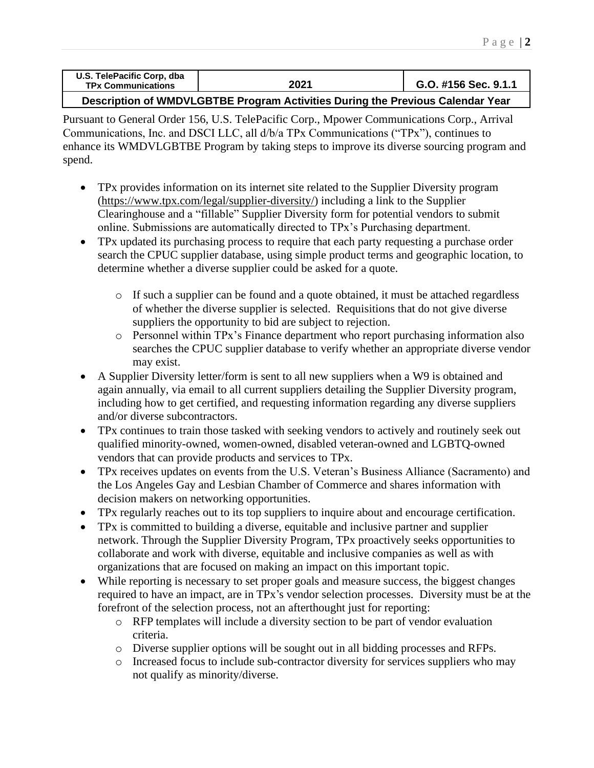| U.S. TelePacific Corp, dba<br><b>TPx Communications</b> | 2021 | G.O. #156 Sec. 9.1.1 |
|---------------------------------------------------------|------|----------------------|
|                                                         |      |                      |

**Description of WMDVLGBTBE Program Activities During the Previous Calendar Year**

Pursuant to General Order 156, U.S. TelePacific Corp., Mpower Communications Corp., Arrival Communications, Inc. and DSCI LLC, all d/b/a TPx Communications ("TPx"), continues to enhance its WMDVLGBTBE Program by taking steps to improve its diverse sourcing program and spend.

- TPx provides information on its internet site related to the Supplier Diversity program [\(https://www.tpx.com/legal/supplier-diversity/\)](https://www.tpx.com/legal/supplier-diversity/) including a link to the Supplier Clearinghouse and a "fillable" Supplier Diversity form for potential vendors to submit online. Submissions are automatically directed to TPx's Purchasing department.
- TPx updated its purchasing process to require that each party requesting a purchase order search the CPUC supplier database, using simple product terms and geographic location, to determine whether a diverse supplier could be asked for a quote.
	- o If such a supplier can be found and a quote obtained, it must be attached regardless of whether the diverse supplier is selected. Requisitions that do not give diverse suppliers the opportunity to bid are subject to rejection.
	- o Personnel within TPx's Finance department who report purchasing information also searches the CPUC supplier database to verify whether an appropriate diverse vendor may exist.
- A Supplier Diversity letter/form is sent to all new suppliers when a W9 is obtained and again annually, via email to all current suppliers detailing the Supplier Diversity program, including how to get certified, and requesting information regarding any diverse suppliers and/or diverse subcontractors.
- TPx continues to train those tasked with seeking vendors to actively and routinely seek out qualified minority-owned, women-owned, disabled veteran-owned and LGBTQ-owned vendors that can provide products and services to TPx.
- TPx receives updates on events from the U.S. Veteran's Business Alliance (Sacramento) and the Los Angeles Gay and Lesbian Chamber of Commerce and shares information with decision makers on networking opportunities.
- TPx regularly reaches out to its top suppliers to inquire about and encourage certification.
- TPx is committed to building a diverse, equitable and inclusive partner and supplier network. Through the Supplier Diversity Program, TPx proactively seeks opportunities to collaborate and work with diverse, equitable and inclusive companies as well as with organizations that are focused on making an impact on this important topic.
- While reporting is necessary to set proper goals and measure success, the biggest changes required to have an impact, are in TPx's vendor selection processes. Diversity must be at the forefront of the selection process, not an afterthought just for reporting:
	- o RFP templates will include a diversity section to be part of vendor evaluation criteria.
	- o Diverse supplier options will be sought out in all bidding processes and RFPs.
	- o Increased focus to include sub-contractor diversity for services suppliers who may not qualify as minority/diverse.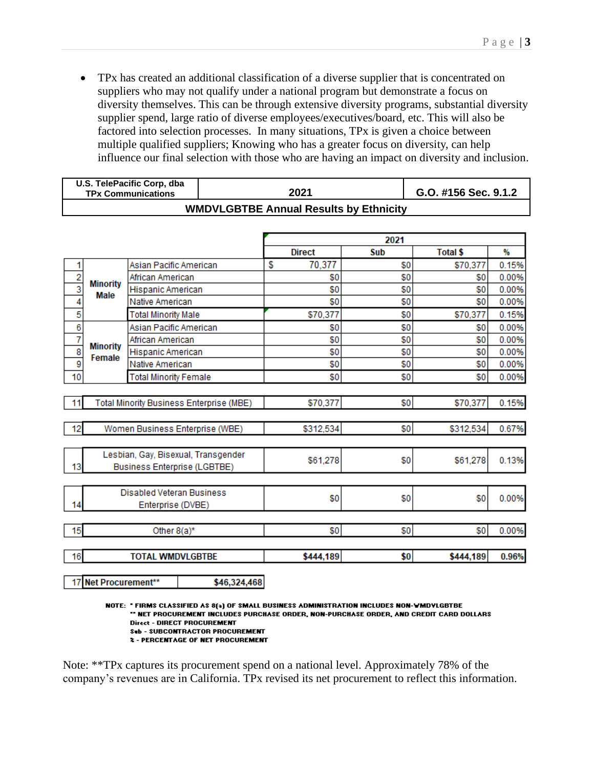• TPx has created an additional classification of a diverse supplier that is concentrated on suppliers who may not qualify under a national program but demonstrate a focus on diversity themselves. This can be through extensive diversity programs, substantial diversity supplier spend, large ratio of diverse employees/executives/board, etc. This will also be factored into selection processes. In many situations, TPx is given a choice between multiple qualified suppliers; Knowing who has a greater focus on diversity, can help influence our final selection with those who are having an impact on diversity and inclusion.

| U.S. TelePacific Corp, dba<br><b>TPx Communications</b> | 2021                                          | G.O. #156 Sec. 9.1.2 |
|---------------------------------------------------------|-----------------------------------------------|----------------------|
|                                                         | <b>WMDVLGBTBE Annual Results by Ethnicity</b> |                      |

|                |                                          |                                  |                                     |               | 2021 |                 |       |
|----------------|------------------------------------------|----------------------------------|-------------------------------------|---------------|------|-----------------|-------|
|                |                                          |                                  |                                     | <b>Direct</b> | Sub  | <b>Total \$</b> | %     |
| 1              |                                          | Asian Pacific American           |                                     | 70,377<br>S   | \$0  | \$70,377        | 0.15% |
| $\frac{2}{3}$  | <b>Minority</b>                          | African American                 |                                     | \$0           | \$0  | \$0             | 0.00% |
|                | Male                                     | Hispanic American                |                                     | \$0           | \$0  | \$0             | 0.00% |
| 4              |                                          | Native American                  |                                     | \$0           | \$0  | \$0             | 0.00% |
| 5              |                                          | <b>Total Minority Male</b>       |                                     | \$70,377      | \$0  | \$70,377        | 0.15% |
| 6              |                                          | Asian Pacific American           |                                     | \$0           | \$0  | \$0             | 0.00% |
| $\overline{7}$ |                                          | African American                 |                                     | \$0           | \$0  | \$0             | 0.00% |
| $\overline{8}$ | <b>Minority</b><br>Female                | Hispanic American                |                                     | \$0           | \$0  | \$0             | 0.00% |
| $\overline{9}$ |                                          | Native American                  |                                     | \$0           | \$0  | \$0             | 0.00% |
| 10             |                                          | <b>Total Minority Female</b>     |                                     | \$0           | \$0  | \$0             | 0.00% |
|                |                                          |                                  |                                     |               |      |                 |       |
| 11             | Total Minority Business Enterprise (MBE) |                                  |                                     | \$70,377      | \$0  | \$70,377        | 0.15% |
|                |                                          |                                  |                                     |               |      |                 |       |
| 12             |                                          |                                  | Women Business Enterprise (WBE)     | \$312,534     | \$0  | \$312,534       | 0.67% |
|                |                                          |                                  |                                     |               |      |                 |       |
|                |                                          |                                  | Lesbian, Gay, Bisexual, Transgender |               |      |                 |       |
| 13             |                                          |                                  | <b>Business Enterprise (LGBTBE)</b> | \$61,278      | \$0  | \$61,278        | 0.13% |
|                |                                          |                                  |                                     |               |      |                 |       |
|                |                                          | <b>Disabled Veteran Business</b> |                                     |               |      |                 |       |
| 14             |                                          | Enterprise (DVBE)                |                                     | \$0           | \$0  | \$0             | 0.00% |
|                |                                          |                                  |                                     |               |      |                 |       |
| 15             |                                          | Other 8(a)*                      |                                     | \$0           | \$0  | \$0             | 0.00% |
|                |                                          |                                  |                                     |               |      |                 |       |
| 16             |                                          | <b>TOTAL WMDVLGBTBE</b>          |                                     | \$444,189     | \$0  | \$444,189       | 0.96% |
|                |                                          |                                  |                                     |               |      |                 |       |
|                | 17 Net Procurement**                     |                                  | \$46,324,468                        |               |      |                 |       |

NOTE: \* FIRMS CLASSIFIED AS 8(a) OF SMALL BUSINESS ADMINISTRATION INCLUDES NON-WMDVLGBTBE " NET PROCUREMENT INCLUDES PURCHASE ORDER, NON-PURCHASE ORDER, AND CREDIT CARD DOLLARS **Direct - DIRECT PROCUREMENT** Sub - SUBCONTRACTOR PROCUREMENT **2 - PERCENTAGE OF NET PROCUREMENT** 

Note: \*\*TPx captures its procurement spend on a national level. Approximately 78% of the company's revenues are in California. TPx revised its net procurement to reflect this information.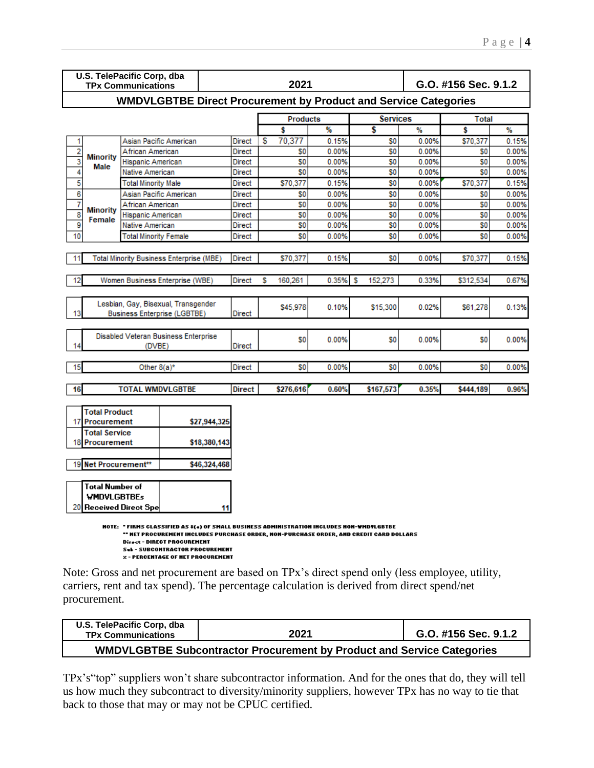|                         | U.S. TelePacific Corp, dba                                                                                                                                                                                                                                                                                                                  |                            |                                                                            |               |    |                |       |                |       |                      |       |
|-------------------------|---------------------------------------------------------------------------------------------------------------------------------------------------------------------------------------------------------------------------------------------------------------------------------------------------------------------------------------------|----------------------------|----------------------------------------------------------------------------|---------------|----|----------------|-------|----------------|-------|----------------------|-------|
|                         |                                                                                                                                                                                                                                                                                                                                             | <b>TPx Communications</b>  |                                                                            |               |    | 2021           |       |                |       | G.O. #156 Sec. 9.1.2 |       |
|                         | <b>WMDVLGBTBE Direct Procurement by Product and Service Categories</b>                                                                                                                                                                                                                                                                      |                            |                                                                            |               |    |                |       |                |       |                      |       |
|                         | <b>Services</b><br><b>Total</b><br><b>Products</b>                                                                                                                                                                                                                                                                                          |                            |                                                                            |               |    |                |       |                |       |                      |       |
|                         |                                                                                                                                                                                                                                                                                                                                             |                            |                                                                            |               |    | Ŝ              | %     | \$             | %     | s                    | %     |
| 1                       |                                                                                                                                                                                                                                                                                                                                             |                            | Asian Pacific American                                                     | Direct        | £. | 70,377         | 0.15% | S0             | 0.00% | \$70,377             | 0.15% |
| $\overline{2}$          | <b>Minority</b>                                                                                                                                                                                                                                                                                                                             | African American           |                                                                            | Direct        |    | S0             | 0.00% | S <sub>0</sub> | 0.00% | S0                   | 0.00% |
| 3                       | Male                                                                                                                                                                                                                                                                                                                                        | Hispanic American          |                                                                            | Direct        |    | S <sub>0</sub> | 0.00% | S <sub>0</sub> | 0.00% | S <sub>0</sub>       | 0.00% |
| 4                       |                                                                                                                                                                                                                                                                                                                                             | Native American            |                                                                            | Direct        |    | S <sub>0</sub> | 0.00% | \$O            | 0.00% | S <sub>0</sub>       | 0.00% |
| $\overline{\mathbf{5}}$ |                                                                                                                                                                                                                                                                                                                                             | <b>Total Minority Male</b> |                                                                            | Direct        |    | \$70,377       | 0.15% | S <sub>0</sub> | 0.00% | \$70,377             | 0.15% |
| 6                       |                                                                                                                                                                                                                                                                                                                                             |                            | Asian Pacific American                                                     | <b>Direct</b> |    | S0             | 0.00% | S <sub>0</sub> | 0.00% | S <sub>0</sub>       | 0.00% |
| 7                       | <b>Minority</b>                                                                                                                                                                                                                                                                                                                             | African American           |                                                                            | Direct        |    | S0             | 0.00% | S0             | 0.00% | S <sub>0</sub>       | 0.00% |
| $\overline{\mathbf{8}}$ | Female                                                                                                                                                                                                                                                                                                                                      | Hispanic American          |                                                                            | Direct        |    | S <sub>0</sub> | 0.00% | S <sub>0</sub> | 0.00% | S <sub>0</sub>       | 0.00% |
| 9                       |                                                                                                                                                                                                                                                                                                                                             | Native American            |                                                                            | <b>Direct</b> |    | S <sub>0</sub> | 0.00% | S0             | 0.00% | S <sub>0</sub>       | 0.00% |
| 10                      |                                                                                                                                                                                                                                                                                                                                             | Total Minority Female      |                                                                            | Direct        |    | S0             | 0.00% | S0             | 0.00% | S <sub>0</sub>       | 0.00% |
| 11                      |                                                                                                                                                                                                                                                                                                                                             |                            | <b>Total Minority Business Enterprise (MBE)</b>                            | <b>Direct</b> |    | \$70,377       | 0.15% | S <sub>0</sub> | 0.00% | \$70,377             | 0.15% |
| 12                      |                                                                                                                                                                                                                                                                                                                                             |                            | Women Business Enterprise (WBE)                                            | <b>Direct</b> | S  | 160,261        | 0.35% | 152.273<br>s   | 0.33% | \$312,534            | 0.67% |
|                         |                                                                                                                                                                                                                                                                                                                                             |                            |                                                                            |               |    |                |       |                |       |                      |       |
| 13                      |                                                                                                                                                                                                                                                                                                                                             |                            | Lesbian, Gay, Bisexual, Transgender<br><b>Business Enterprise (LGBTBE)</b> | <b>Direct</b> |    | \$45.978       | 0.10% | \$15,300       | 0.02% | \$61,278             | 0.13% |
|                         |                                                                                                                                                                                                                                                                                                                                             |                            |                                                                            |               |    |                |       |                |       |                      |       |
|                         |                                                                                                                                                                                                                                                                                                                                             |                            | Disabled Veteran Business Enterprise                                       |               |    | S <sub>0</sub> | 0.00% | S0             | 0.00% | S <sub>0</sub>       | 0.00% |
| 14                      |                                                                                                                                                                                                                                                                                                                                             | (DVBE)                     |                                                                            | <b>Direct</b> |    |                |       |                |       |                      |       |
| 15                      |                                                                                                                                                                                                                                                                                                                                             | Other $8(a)^*$             |                                                                            | <b>Direct</b> |    | S0             | 0.00% | S0             | 0.00% | S <sub>0</sub>       | 0.00% |
|                         |                                                                                                                                                                                                                                                                                                                                             |                            |                                                                            |               |    |                |       |                |       |                      |       |
| 16                      |                                                                                                                                                                                                                                                                                                                                             | <b>TOTAL WMDVLGBTBE</b>    |                                                                            | Direct        |    | \$276,616      | 0.60% | \$167,573      | 0.35% | \$444,189            | 0.96% |
|                         | <b>Total Product</b>                                                                                                                                                                                                                                                                                                                        |                            |                                                                            |               |    |                |       |                |       |                      |       |
| 17                      | Procurement                                                                                                                                                                                                                                                                                                                                 |                            | \$27,944,325                                                               |               |    |                |       |                |       |                      |       |
|                         | <b>Total Service</b>                                                                                                                                                                                                                                                                                                                        |                            |                                                                            |               |    |                |       |                |       |                      |       |
| 18                      | Procurement                                                                                                                                                                                                                                                                                                                                 |                            | \$18,380,143                                                               |               |    |                |       |                |       |                      |       |
|                         |                                                                                                                                                                                                                                                                                                                                             |                            |                                                                            |               |    |                |       |                |       |                      |       |
|                         | 19 Net Procurement**                                                                                                                                                                                                                                                                                                                        |                            | \$46,324,468                                                               |               |    |                |       |                |       |                      |       |
|                         | Total Number of                                                                                                                                                                                                                                                                                                                             |                            |                                                                            |               |    |                |       |                |       |                      |       |
|                         | <b>WMDVLGBTBEs</b>                                                                                                                                                                                                                                                                                                                          |                            |                                                                            |               |    |                |       |                |       |                      |       |
| 20                      |                                                                                                                                                                                                                                                                                                                                             |                            | 11                                                                         |               |    |                |       |                |       |                      |       |
|                         | <b>Received Direct Spe</b><br>NOTE: "FIRMS CLASSIFIED AS \$(4) OF SMALL BUSINESS ADMINISTRATION INCLUDES NON-WMDYLGBTBE<br>" HET PROCUREMENT INCLUDES PURCHASE ORDER, NON-PURCHASE ORDER, AND CREDIT CARD DOLLARS<br>Direct - DIRECT PROCUREMENT<br><b>Sel-SUBCONTRACTOR PROCUREMENT</b><br><b><i>x</i></b> - PERCENTAGE OF NET PROCUREMENT |                            |                                                                            |               |    |                |       |                |       |                      |       |

Note: Gross and net procurement are based on TPx's direct spend only (less employee, utility, carriers, rent and tax spend). The percentage calculation is derived from direct spend/net procurement.

| U.S. TelePacific Corp, dba<br><b>TPx Communications</b> | 2021                                                                          | G.O. #156 Sec. 9.1.2 |
|---------------------------------------------------------|-------------------------------------------------------------------------------|----------------------|
|                                                         | <b>WMDVLGBTBE Subcontractor Procurement by Product and Service Categories</b> |                      |

TPx's"top" suppliers won't share subcontractor information. And for the ones that do, they will tell us how much they subcontract to diversity/minority suppliers, however TPx has no way to tie that back to those that may or may not be CPUC certified.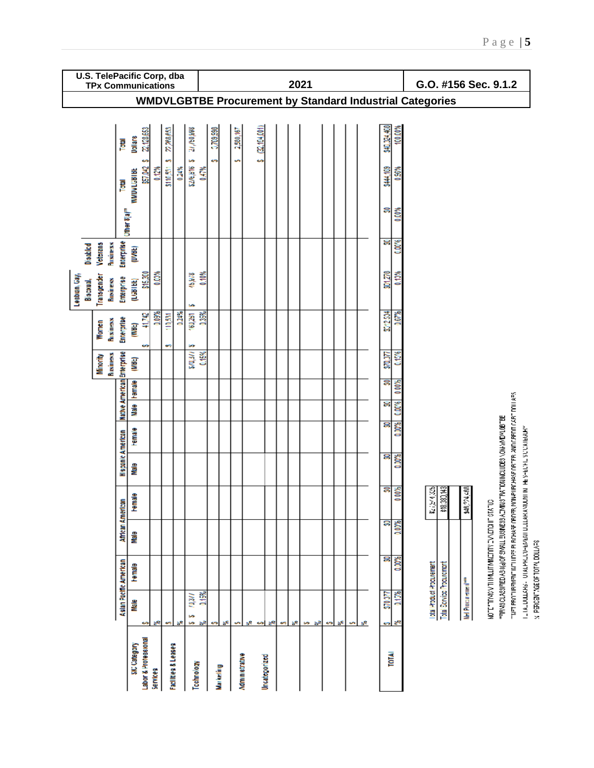|                                                                 | U.S. TelePacific Corp, dba<br><b>TPx Communications</b> |                                 |                                           |                       |                          |       |                           |       |                 |    |                   |             |                                 |          |    | 2021 |    |           |    |   |    |               |               |                           |                           |                                | G.O. #156 Sec. 9.1.2                  |                                                                            |                                                                                                                                                                                                                 |
|-----------------------------------------------------------------|---------------------------------------------------------|---------------------------------|-------------------------------------------|-----------------------|--------------------------|-------|---------------------------|-------|-----------------|----|-------------------|-------------|---------------------------------|----------|----|------|----|-----------|----|---|----|---------------|---------------|---------------------------|---------------------------|--------------------------------|---------------------------------------|----------------------------------------------------------------------------|-----------------------------------------------------------------------------------------------------------------------------------------------------------------------------------------------------------------|
| <b>WMDVLGBTBE Procurement by Standard Industrial Categories</b> |                                                         |                                 |                                           |                       |                          |       |                           |       |                 |    |                   |             |                                 |          |    |      |    |           |    |   |    |               |               |                           |                           |                                |                                       |                                                                            |                                                                                                                                                                                                                 |
|                                                                 |                                                         |                                 |                                           |                       |                          |       |                           |       |                 |    |                   |             |                                 |          |    |      |    |           |    |   |    |               |               |                           |                           |                                |                                       |                                                                            |                                                                                                                                                                                                                 |
|                                                                 |                                                         | Total                           | 22,128,653<br><b>Dollars</b>              |                       | 22,268,653               |       | 888'09/17                 |       | 0.709,990       |    | 2,580,167         | (22,194,001 |                                 |          |    |      |    |           |    |   |    | \$40,024,400  | 400.00%       |                           |                           |                                |                                       |                                                                            |                                                                                                                                                                                                                 |
|                                                                 |                                                         | 圄                               | ومه<br>\$57,042<br><b>WMDVLGBTBE</b>      | 6.12%                 | ¢,<br>\$110,551          | 0.24% | \$5.00/97/2               | 0.47% | <b>SP</b>       |    |                   | ç,          |                                 |          |    |      |    |           |    |   |    | \$44,109      | $\frac{8}{3}$ |                           |                           |                                |                                       |                                                                            |                                                                                                                                                                                                                 |
|                                                                 |                                                         | <b>Uther 8 (a)<sup>ra</sup></b> |                                           |                       |                          |       |                           |       |                 |    |                   |             |                                 |          |    |      |    |           |    |   |    | S             | $60\%$        |                           |                           |                                |                                       |                                                                            |                                                                                                                                                                                                                 |
| <b>Disabled</b>                                                 | <b>Business</b><br><b>Voterans</b>                      | Enterprise                      | (DVBL)                                    |                       |                          |       |                           |       |                 |    |                   |             |                                 |          |    |      |    |           |    |   |    | 욹             | 0.00%         |                           |                           |                                |                                       |                                                                            |                                                                                                                                                                                                                 |
| Lesbian <sub>,</sub> Gay,<br>Biscxual,                          | Transgender<br><b>Business</b>                          | Enterprise                      | \$15,300<br>(LGBTBE)                      | 0.03%                 |                          |       | 45,978                    | 0.10% |                 |    |                   |             |                                 |          |    |      |    |           |    |   |    | 801,270       | 0.10%         |                           |                           |                                |                                       |                                                                            |                                                                                                                                                                                                                 |
|                                                                 | <b>Business</b><br>Women                                | Enterprise                      | 41,742<br>Ë                               | 0.09%                 | 110,531                  | 0.24% | ь<br>160,251              | 35%   |                 |    |                   |             |                                 |          |    |      |    |           |    |   |    | <b>E12534</b> | 0.67%         |                           |                           |                                |                                       |                                                                            |                                                                                                                                                                                                                 |
|                                                                 | Business<br>Minority                                    |                                 | وي<br>(HR)                                |                       | ÷                        |       | w<br><b>ARMS</b>          | 0.15% |                 |    |                   |             |                                 |          |    |      |    |           |    |   |    | 570,377       | <b>May</b>    |                           |                           |                                |                                       |                                                                            |                                                                                                                                                                                                                 |
|                                                                 |                                                         | Native American Enterprise      | Male Hemale                               |                       |                          |       |                           |       |                 |    |                   |             |                                 |          |    |      |    |           |    |   |    | ន             | 0.00%         |                           |                           |                                |                                       |                                                                            |                                                                                                                                                                                                                 |
|                                                                 |                                                         |                                 |                                           |                       |                          |       |                           |       |                 |    |                   |             |                                 |          |    |      |    |           |    |   |    | 응             | 0.00%         |                           |                           |                                |                                       |                                                                            |                                                                                                                                                                                                                 |
|                                                                 |                                                         |                                 | <b>Hemale</b>                             |                       |                          |       |                           |       |                 |    |                   |             |                                 |          |    |      |    |           |    |   |    | g             | 0.00%         |                           |                           |                                |                                       |                                                                            |                                                                                                                                                                                                                 |
|                                                                 |                                                         | Hispanic American               | eleM                                      |                       |                          |       |                           |       |                 |    |                   |             |                                 |          |    |      |    |           |    |   |    | g             | 0.00%         |                           |                           |                                |                                       |                                                                            |                                                                                                                                                                                                                 |
|                                                                 |                                                         |                                 | <b>Female</b>                             |                       |                          |       |                           |       |                 |    |                   |             |                                 |          |    |      |    |           |    |   |    | ន             | 000%          | 24325<br>ä,               | \$18,380,143              | ,394,488<br>ã                  |                                       |                                                                            |                                                                                                                                                                                                                 |
|                                                                 |                                                         | African American                | eleM                                      |                       |                          |       |                           |       |                 |    |                   |             |                                 |          |    |      |    |           |    |   |    | ន             | 0.00%         |                           |                           |                                |                                       |                                                                            |                                                                                                                                                                                                                 |
|                                                                 |                                                         |                                 | Hemale                                    |                       |                          |       |                           |       |                 |    |                   |             |                                 |          |    |      |    |           |    |   |    | g             | 0.00%         |                           |                           |                                | ADTERTINACIN MICROPORTEX CRANE STATUS | 33. COMMANDO VSOUTOWING LYS - SUMER SS STANS LESS OF SESSIONS AND SINGLES. | inter berühlen den Bunde bie den Schaft der Bundenbaren der Ernande der der Erne der Schlage der Schlage in de<br>IL IALDULARS - UTALPRECU-EMMOTICARANDUM TES-ECHESCOREGUM<br>SEVITOD TV LOLAD DOLLY EXPERIENCY |
|                                                                 |                                                         | Asian Pacific American          | Male                                      |                       |                          |       | $\frac{1}{2}$<br>in<br>in | 0,15% |                 |    |                   |             |                                 |          |    |      |    |           |    |   |    | 570377        | 0.15%         | lotal Product Producement | Total Service Procurement | Nel Procurement <sup>ses</sup> |                                       |                                                                            |                                                                                                                                                                                                                 |
|                                                                 |                                                         |                                 | s<br>Labor & Protessional<br>SIC Category | چچ<br><b>Services</b> | ÷<br>Facilities & Leases |       | Technology                | 88    | وي<br>Markeling | ъF | ÷<br>Mommetrative | sR.<br>إجبه | $\mathbb{R}^2$<br>Uncategorized | <b>M</b> | ä٩ | b.   | 53 | <b>SP</b> | ä٤ | ÷ | ьē | es.<br>TOTAL  | ਣਵ            |                           |                           |                                |                                       |                                                                            |                                                                                                                                                                                                                 |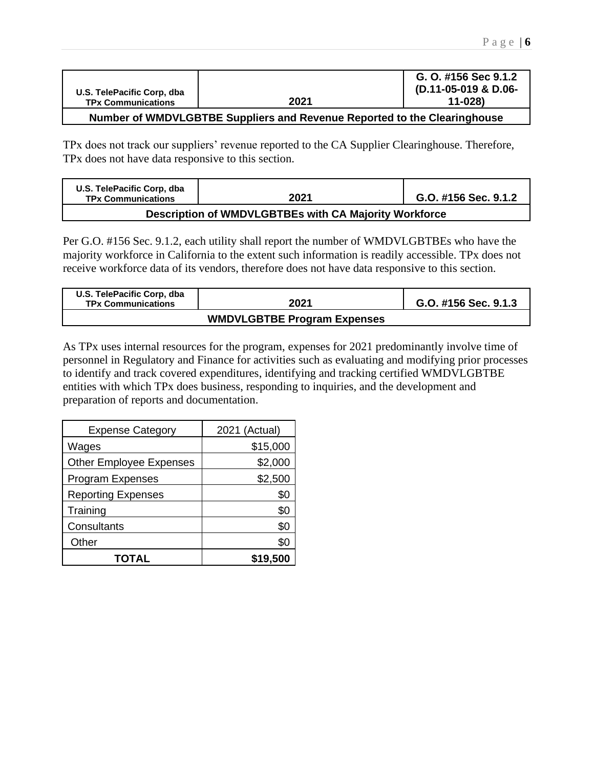| U.S. TelePacific Corp. dba                                                 |      | G. O. #156 Sec 9.1.2<br>(D.11-05-019 & D.06- |  |  |  |  |  |
|----------------------------------------------------------------------------|------|----------------------------------------------|--|--|--|--|--|
| <b>TPx Communications</b>                                                  | 2021 | 11-028)                                      |  |  |  |  |  |
| Number of WIMDVI CDTDE Cuppliers and Dovanus Departed to the Clearinghouse |      |                                              |  |  |  |  |  |

## **Number of WMDVLGBTBE Suppliers and Revenue Reported to the Clearinghouse**

TPx does not track our suppliers' revenue reported to the CA Supplier Clearinghouse. Therefore, TPx does not have data responsive to this section.

| U.S. TelePacific Corp, dba<br><b>TPx Communications</b> | 2021                                                  | G.O. #156 Sec. 9.1.2 |
|---------------------------------------------------------|-------------------------------------------------------|----------------------|
|                                                         | Description of WMDVLGBTBEs with CA Majority Workforce |                      |

Per G.O. #156 Sec. 9.1.2, each utility shall report the number of WMDVLGBTBEs who have the majority workforce in California to the extent such information is readily accessible. TPx does not receive workforce data of its vendors, therefore does not have data responsive to this section.

| U.S. TelePacific Corp, dba<br><b>TPx Communications</b> | 2021                               | G.O. #156 Sec. 9.1.3 |
|---------------------------------------------------------|------------------------------------|----------------------|
|                                                         | <b>WMDVLGBTBE Program Expenses</b> |                      |

As TPx uses internal resources for the program, expenses for 2021 predominantly involve time of personnel in Regulatory and Finance for activities such as evaluating and modifying prior processes to identify and track covered expenditures, identifying and tracking certified WMDVLGBTBE entities with which TPx does business, responding to inquiries, and the development and preparation of reports and documentation.

| <b>Expense Category</b>        | 2021 (Actual) |
|--------------------------------|---------------|
| Wages                          | \$15,000      |
| <b>Other Employee Expenses</b> | \$2,000       |
| <b>Program Expenses</b>        | \$2,500       |
| <b>Reporting Expenses</b>      | \$0           |
| Training                       | \$0           |
| Consultants                    | \$0           |
| Other                          | \$0           |
| TOTAL                          | \$19,500      |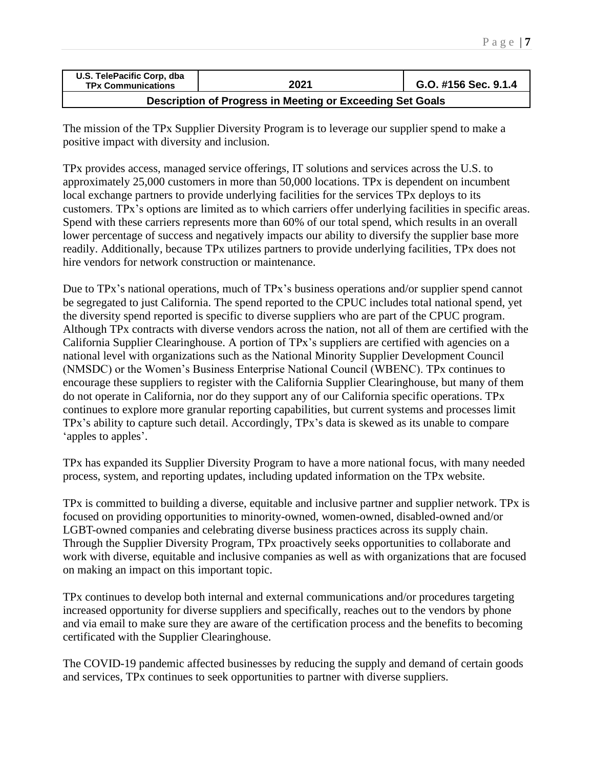| U.S. TelePacific Corp, dba<br><b>TPx Communications</b> | 2021 | G.O. #156 Sec. 9.1.4 |
|---------------------------------------------------------|------|----------------------|
|                                                         | .    |                      |

**Description of Progress in Meeting or Exceeding Set Goals** 

The mission of the TPx Supplier Diversity Program is to leverage our supplier spend to make a positive impact with diversity and inclusion.

TPx provides access, managed service offerings, IT solutions and services across the U.S. to approximately 25,000 customers in more than 50,000 locations. TPx is dependent on incumbent local exchange partners to provide underlying facilities for the services TPx deploys to its customers. TPx's options are limited as to which carriers offer underlying facilities in specific areas. Spend with these carriers represents more than 60% of our total spend, which results in an overall lower percentage of success and negatively impacts our ability to diversify the supplier base more readily. Additionally, because TPx utilizes partners to provide underlying facilities, TPx does not hire vendors for network construction or maintenance.

Due to TPx's national operations, much of TPx's business operations and/or supplier spend cannot be segregated to just California. The spend reported to the CPUC includes total national spend, yet the diversity spend reported is specific to diverse suppliers who are part of the CPUC program. Although TPx contracts with diverse vendors across the nation, not all of them are certified with the California Supplier Clearinghouse. A portion of TPx's suppliers are certified with agencies on a national level with organizations such as the National Minority Supplier Development Council (NMSDC) or the Women's Business Enterprise National Council (WBENC). TPx continues to encourage these suppliers to register with the California Supplier Clearinghouse, but many of them do not operate in California, nor do they support any of our California specific operations. TPx continues to explore more granular reporting capabilities, but current systems and processes limit TPx's ability to capture such detail. Accordingly, TPx's data is skewed as its unable to compare 'apples to apples'.

TPx has expanded its Supplier Diversity Program to have a more national focus, with many needed process, system, and reporting updates, including updated information on the TPx website.

TPx is committed to building a diverse, equitable and inclusive partner and supplier network. TPx is focused on providing opportunities to minority-owned, women-owned, disabled-owned and/or LGBT-owned companies and celebrating diverse business practices across its supply chain. Through the Supplier Diversity Program, TPx proactively seeks opportunities to collaborate and work with diverse, equitable and inclusive companies as well as with organizations that are focused on making an impact on this important topic.

TPx continues to develop both internal and external communications and/or procedures targeting increased opportunity for diverse suppliers and specifically, reaches out to the vendors by phone and via email to make sure they are aware of the certification process and the benefits to becoming certificated with the Supplier Clearinghouse.

The COVID-19 pandemic affected businesses by reducing the supply and demand of certain goods and services, TPx continues to seek opportunities to partner with diverse suppliers.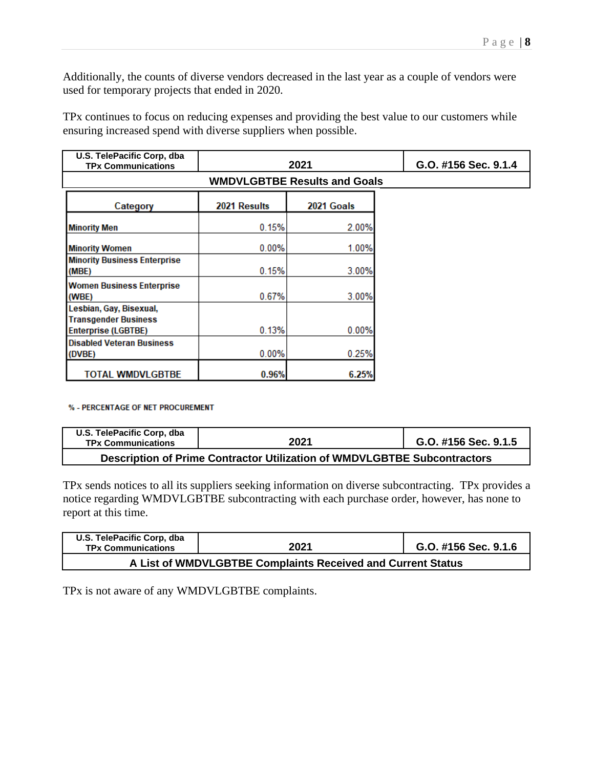Additionally, the counts of diverse vendors decreased in the last year as a couple of vendors were used for temporary projects that ended in 2020.

| U.S. TelePacific Corp, dba<br><b>TPx Communications</b>                       | G.O. #156 Sec. 9.1.4 |            |  |  |  |  |  |
|-------------------------------------------------------------------------------|----------------------|------------|--|--|--|--|--|
| <b>WMDVLGBTBE Results and Goals</b>                                           |                      |            |  |  |  |  |  |
| Category                                                                      | 2021 Results         | 2021 Goals |  |  |  |  |  |
| <b>Minority Men</b>                                                           | 0.15%                | 2.00%      |  |  |  |  |  |
| <b>Minority Women</b>                                                         | 0.00%                | 1.00%      |  |  |  |  |  |
| <b>Minority Business Enterprise</b><br>(MBE)                                  | 0.15%                | 3.00%      |  |  |  |  |  |
| <b>Women Business Enterprise</b><br>(WBE)                                     | 0.67%                | 3.00%      |  |  |  |  |  |
| Lesbian, Gay, Bisexual,<br><b>Transgender Business</b><br>Enterprise (LGBTBE) | 0.13%                | 0.00%      |  |  |  |  |  |
| <b>Disabled Veteran Business</b><br>(DVBE)                                    | 0.00%                | 0.25%      |  |  |  |  |  |
| TOTAL WMDVLGBTBE                                                              | 0.96%                | 6.25%      |  |  |  |  |  |

TPx continues to focus on reducing expenses and providing the best value to our customers while ensuring increased spend with diverse suppliers when possible.

## % - PERCENTAGE OF NET PROCUREMENT

| U.S. TelePacific Corp, dba<br><b>TPx Communications</b>                  | 2021 | G.O. #156 Sec. 9.1.5 |  |  |  |  |
|--------------------------------------------------------------------------|------|----------------------|--|--|--|--|
| Description of Prime Contractor Utilization of WMDVLGBTBE Subcontractors |      |                      |  |  |  |  |

TPx sends notices to all its suppliers seeking information on diverse subcontracting. TPx provides a notice regarding WMDVLGBTBE subcontracting with each purchase order, however, has none to report at this time.

| U.S. TelePacific Corp, dba<br><b>TPx Communications</b>     | 2021 | G.O. #156 Sec. 9.1.6 |  |  |  |  |  |
|-------------------------------------------------------------|------|----------------------|--|--|--|--|--|
| A List of WMDVLGBTBE Complaints Received and Current Status |      |                      |  |  |  |  |  |

TPx is not aware of any WMDVLGBTBE complaints.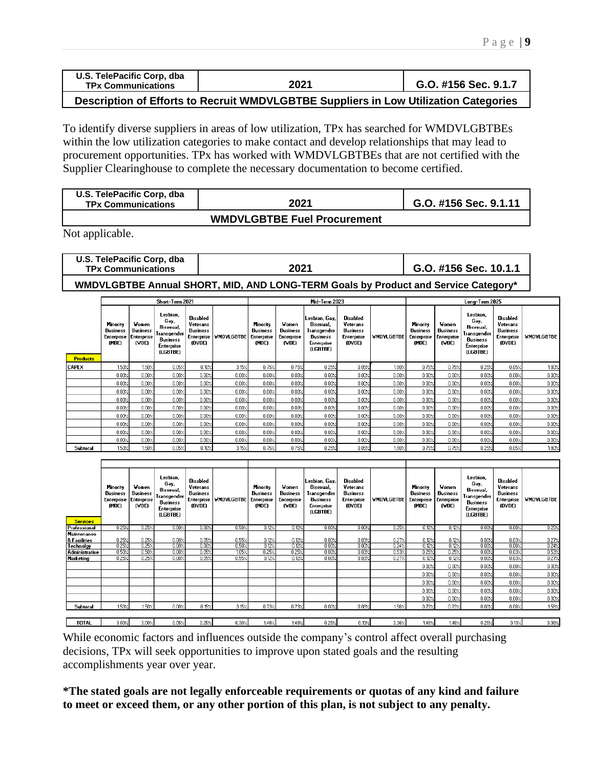| U.S. TelePacific Corp, dba<br><b>TPx Communications</b> | 2021       | G.O. #156 Sec. 9.1.7 |
|---------------------------------------------------------|------------|----------------------|
|                                                         | . <i>.</i> | .                    |

**Description of Efforts to Recruit WMDVLGBTBE Suppliers in Low Utilization Categories**

To identify diverse suppliers in areas of low utilization, TPx has searched for WMDVLGBTBEs within the low utilization categories to make contact and develop relationships that may lead to procurement opportunities. TPx has worked with WMDVLGBTBEs that are not certified with the Supplier Clearinghouse to complete the necessary documentation to become certified.

| U.S. TelePacific Corp, dba<br><b>TPx Communications</b> | 2021 | G.O. #156 Sec. 9.1.11 |  |  |  |  |  |
|---------------------------------------------------------|------|-----------------------|--|--|--|--|--|
|                                                         |      |                       |  |  |  |  |  |

**WMDVLGBTBE Fuel Procurement**

Not applicable.

| U.S. TelePacific Corp, dba | 2021 | G.O. #156 Sec. 10.1.1 |  |  |  |
|----------------------------|------|-----------------------|--|--|--|
| <b>TPx Communications</b>  |      |                       |  |  |  |
|                            |      |                       |  |  |  |

**WMDVLGBTBE Annual SHORT, MID, AND LONG-TERM Goals by Product and Service Category\***

|                 | Short-Term 2021                                           |                                                        |                                                                                           |                                                                        | Mid-Term 2023     |                                                           |                                                        |                                                                                        | Long-Term 2025                                                  |                   |                                                           |                                                 |                                                                                           |                                                                 |                   |
|-----------------|-----------------------------------------------------------|--------------------------------------------------------|-------------------------------------------------------------------------------------------|------------------------------------------------------------------------|-------------------|-----------------------------------------------------------|--------------------------------------------------------|----------------------------------------------------------------------------------------|-----------------------------------------------------------------|-------------------|-----------------------------------------------------------|-------------------------------------------------|-------------------------------------------------------------------------------------------|-----------------------------------------------------------------|-------------------|
| <b>Products</b> | Minority<br><b>Business</b><br><b>Enterprise</b><br>(MBE) | Women<br><b>Business</b><br><b>Enterprise</b><br>(VBE) | Lesbian,<br>Gay,<br>Bisexual,<br>Transgender<br><b>Business</b><br>Enterprise<br>(LGBTBE) | Disabled<br>Veterans<br><b>Business</b><br><b>Enterprise</b><br>(DVBE) | <b>VMDVLGBTBE</b> | Minority<br><b>Business</b><br><b>Enterprise</b><br>(MBE) | Vomen<br><b>Business</b><br><b>Enterprise</b><br>(VBE) | Lesbian, Gav.<br>Bisexual,<br>Transgender<br><b>Business</b><br>Enterprise<br>(LGBTBE) | Disabled<br>Veterans<br><b>Business</b><br>Enterprise<br>(DVBE) | <b>VMDVLGBTBE</b> | <b>Minority</b><br><b>Business</b><br>Enterprise<br>(MBE) | Women<br><b>Business</b><br>Enterprise<br>(VBE) | Lesbian,<br>Gay,<br>Bisexual.<br>Transgender<br><b>Business</b><br>Enterprise<br>(LGBTBE) | Disabled<br>Veterans<br><b>Business</b><br>Enterprise<br>(DVBE) | <b>WMDVLGBTBE</b> |
| <b>CAPEX</b>    | 1.50%                                                     | 1.50%                                                  | 0.05%                                                                                     | 0.10%                                                                  | 3.15%             | 0.75%                                                     | 0.75%                                                  | 0.25%                                                                                  | 0.05%                                                           | 1.80%             | 0.75%                                                     | 0.75%                                           | 0.25%                                                                                     | 0.05%                                                           | $1.80\times$      |
|                 | 0.00%                                                     | 0.00%                                                  | 0.00%                                                                                     | 0.00%                                                                  | 0.00%             | 0.00%                                                     | 0.00%                                                  | $0.00$ %                                                                               | 0.00%                                                           | 0.00%             | 0.00%                                                     | 0.00%                                           | 0.00%                                                                                     | 0.00%                                                           | 0.00%             |
|                 | 0.00%                                                     | 0.00%                                                  | 0.00%                                                                                     | 0.00%                                                                  | 0.00%             | 0.00%                                                     | 0.00%                                                  | 0.00%                                                                                  | 0.00%                                                           | 0.00%             | 0.00%                                                     | 0.00%                                           | 0.00%                                                                                     | 0.00%                                                           | 0.00%             |
|                 | 0.00%                                                     | 0.00%                                                  | 0.00%                                                                                     | 0.00%                                                                  | 0.00%             | 0.00%                                                     | 0.00%                                                  | 0.00%                                                                                  | 0.00%                                                           | 0.00%             | 0.00%                                                     | 0.00%                                           | 0.00%                                                                                     | 0.00%                                                           | 0.00%             |
|                 | 0.00%                                                     | 0.00%                                                  | 0.00%                                                                                     | 0.00%                                                                  | 0.00%             | 0.00%                                                     | 0.00%                                                  | 0.00%                                                                                  | 0.00%                                                           | 0.00%             | 0.00%                                                     | 0.00%                                           | 0.00%                                                                                     | 0.00%                                                           | 0.00%             |
|                 | 0.00%                                                     | 0.00%                                                  | 0.00%                                                                                     | 0.00%                                                                  | 0.00%             | 0.00%                                                     | 0.00%                                                  | 0.00%                                                                                  | 0.00%                                                           | 0.00%             | 0.00%                                                     | 0.00%                                           | 0.00%                                                                                     | 0.00%                                                           | 0.00%             |
|                 | 0.00%                                                     | 0.00%                                                  | 0.00%                                                                                     | 0.00%                                                                  | 0.00%             | 0.00%                                                     | 0.00%                                                  | $0.00$ %                                                                               | 0.00%                                                           | 0.00%             | 0.00%                                                     | 0.00%                                           | 0.00%                                                                                     | 0.00%                                                           | 0.00%             |
|                 | 0.00%                                                     | 0.00%                                                  | 0.00%                                                                                     | 0.00%                                                                  | 0.00%             | 0.00%                                                     | 0.00%                                                  | $0.00$ %                                                                               | 0.00%                                                           | 0.00%             | 0.00%                                                     | 0.00%                                           | 0.00%                                                                                     | 0.00%                                                           | 0.00%             |
|                 | 0.00%                                                     | 0.00%                                                  | 0.00%                                                                                     | 0.00%                                                                  | 0.00%             | 0.00%                                                     | 0.00%                                                  | 0.00%                                                                                  | 0.00%                                                           | 0.00%             | 0.00%                                                     | 0.00%                                           | 0.00%                                                                                     | 0.00%                                                           | 0.00%             |
|                 | 0.00%                                                     | 0.00%                                                  | 0.00%                                                                                     | 0.00%                                                                  | 0.00%             | 0.00%                                                     | 0.00%                                                  | 0.00%                                                                                  | 0.00%                                                           | 0.00%             | 0.00%                                                     | 0.00%                                           | 0.00%                                                                                     | 0.00%                                                           | 0.00%             |
| Subtotal        | 150<                                                      | 1.50%                                                  | 0.05%                                                                                     | 0.10%                                                                  | 3.15%             | 0.75%                                                     | 0.75%                                                  | 0.25%                                                                                  | 0.05%                                                           | $1.80\times$      | 0.75%                                                     | 0.75%                                           | 0.25%                                                                                     | 0.05%                                                           | $1.80\times$      |

| <b>Services</b>                                                                           | Minority<br><b>Business</b><br><b>Enterprise</b><br>(MBE) | Women<br><b>Business</b><br>Enterprise<br>(VBE) | Lesbian,<br>Gay,<br>Bisexual,<br>Transgender<br><b>Business</b><br><b>Enterprise</b><br>(LGBTBE) | Disabled<br>Veterans<br><b>Business</b><br><b>Enterprise</b><br>(DVBE) | <b>WMDVLGBTBE</b>                | Minority<br><b>Business</b><br>Enterprise<br>(MBE) | Women<br><b>Business</b><br><b>Enterprise</b><br>(VBE) | Lesbian, Gay,<br>Bisexual,<br>Transgender<br><b>Business</b><br>Enterprise<br>(LGBTBE) | Disabled<br>Veterans<br><b>Business</b><br>Enterprise<br>(DVBE) | <b><i>VMDVLGBTBE</i></b>         | <b>Minority</b><br><b>Business</b><br><b>Enterprise</b><br>(MBE)     | Women<br><b>Business</b><br><b>Enterprise</b><br>(VBE)               | Lesbian,<br>Gay,<br>Bisexual,<br>Transgender<br><b>Business</b><br>Enterprise<br>(LGBTBE) | Disabled<br>Veterans<br><b>Business</b><br>Enterprise<br>(DVBE)      | <b>WMDVLGBTBE</b>                                                    |
|-------------------------------------------------------------------------------------------|-----------------------------------------------------------|-------------------------------------------------|--------------------------------------------------------------------------------------------------|------------------------------------------------------------------------|----------------------------------|----------------------------------------------------|--------------------------------------------------------|----------------------------------------------------------------------------------------|-----------------------------------------------------------------|----------------------------------|----------------------------------------------------------------------|----------------------------------------------------------------------|-------------------------------------------------------------------------------------------|----------------------------------------------------------------------|----------------------------------------------------------------------|
| Professional                                                                              | 0.25%                                                     | 0.25%                                           | 0.00%                                                                                            | 0.00%                                                                  | 0.50%                            | 0.12%                                              | 0.12%                                                  | 0.00%                                                                                  | 0.00%                                                           | 0.25%                            | 0.127                                                                | 0.12%                                                                | 0.00%                                                                                     | 0.00%                                                                | 0.25%                                                                |
| Maintenance<br><b>&amp; Facilities</b><br>Technolgy<br><b>Administrative</b><br>Marketing | 0.25%<br>0.25%<br>0.50%<br>0.257                          | 0.25%<br>0.25%<br>0.50%<br>0.25%                | 0.00%<br>0.00%<br>0.00%<br>0.00%                                                                 | 0.05%<br>0.00%<br>0.05%<br>0.05%                                       | 0.55%<br>0.50%<br>1.05%<br>0.55% | 0.12%<br>0.12%<br>0.25%<br>0.12%                   | 0.12%<br>0.12%<br>0.25%<br>0.12%                       | 0.00%<br>0.007<br>0.00%<br>0.00%                                                       | 0.03%<br>0.00%<br>0.03%<br>0.03%                                | 0.27/<br>0.24%<br>0.53/<br>0.27/ | 0.12%<br>0.12%<br>0.257<br>0.127<br>0.00%<br>0.00%<br>0.00%<br>0.00% | 0.12%<br>0.12%<br>0.25%<br>0.12%<br>0.00%<br>0.00%<br>0.00%<br>0.00% | 0.00%<br>0.00%<br>0.00%<br>0.00%<br>0.00%<br>0.00%<br>0.00%<br>0.00%                      | 0.03/<br>0.00%<br>0.03%<br>0.03%<br>0.00%<br>0.00%<br>0.00%<br>0.00% | 0.27%<br>0.24%<br>0.53%<br>0.27%<br>0.00%<br>0.00%<br>0.00%<br>0.00% |
| Subtotal                                                                                  | $150\times$                                               | 150%                                            | 0.00%                                                                                            | 0.15%                                                                  | 3.15%                            | 0.73%                                              | 0.73%                                                  | 0.00%                                                                                  | 0.08%                                                           | 1.56%                            | 0.00%<br>0.73%                                                       | $0.00$ %<br>0.732                                                    | 0.00%<br>0.00%                                                                            | 0.00%<br>0.08%                                                       | 0.00%<br>$156 \times$                                                |
|                                                                                           |                                                           |                                                 |                                                                                                  |                                                                        |                                  |                                                    |                                                        |                                                                                        |                                                                 |                                  |                                                                      |                                                                      |                                                                                           |                                                                      |                                                                      |
| TOTAL                                                                                     | 3.00%                                                     | 3.00%                                           | 0.05%                                                                                            | 0.25%                                                                  | 6.30%                            | 148%                                               | 1.48%                                                  | $0.25$ %                                                                               | 0.13%                                                           | 3.36%                            | 1.48%                                                                | $1.48\times$                                                         | 0.25%                                                                                     | $0.13\times$                                                         | 3.36%                                                                |

While economic factors and influences outside the company's control affect overall purchasing decisions, TPx will seek opportunities to improve upon stated goals and the resulting accomplishments year over year.

**\*The stated goals are not legally enforceable requirements or quotas of any kind and failure to meet or exceed them, or any other portion of this plan, is not subject to any penalty.**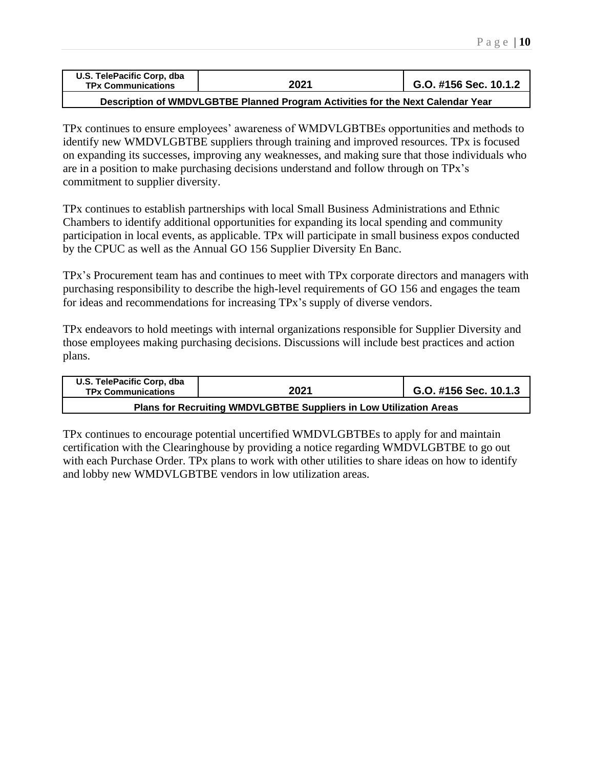| U.S. TelePacific Corp, dba<br><b>TPx Communications</b> | 2021 | G.O. #156 Sec. 10.1.2 |
|---------------------------------------------------------|------|-----------------------|
|                                                         |      |                       |

**Description of WMDVLGBTBE Planned Program Activities for the Next Calendar Year**

TPx continues to ensure employees' awareness of WMDVLGBTBEs opportunities and methods to identify new WMDVLGBTBE suppliers through training and improved resources. TPx is focused on expanding its successes, improving any weaknesses, and making sure that those individuals who are in a position to make purchasing decisions understand and follow through on TPx's commitment to supplier diversity.

TPx continues to establish partnerships with local Small Business Administrations and Ethnic Chambers to identify additional opportunities for expanding its local spending and community participation in local events, as applicable. TPx will participate in small business expos conducted by the CPUC as well as the Annual GO 156 Supplier Diversity En Banc.

TPx's Procurement team has and continues to meet with TPx corporate directors and managers with purchasing responsibility to describe the high-level requirements of GO 156 and engages the team for ideas and recommendations for increasing TPx's supply of diverse vendors.

TPx endeavors to hold meetings with internal organizations responsible for Supplier Diversity and those employees making purchasing decisions. Discussions will include best practices and action plans.

| U.S. TelePacific Corp. dba<br><b>TPx Communications</b>            | 2021 | G.O. #156 Sec. 10.1.3 |  |  |  |  |
|--------------------------------------------------------------------|------|-----------------------|--|--|--|--|
| Plans for Recruiting WMDVLGBTBE Suppliers in Low Utilization Areas |      |                       |  |  |  |  |

TPx continues to encourage potential uncertified WMDVLGBTBEs to apply for and maintain certification with the Clearinghouse by providing a notice regarding WMDVLGBTBE to go out with each Purchase Order. TPx plans to work with other utilities to share ideas on how to identify and lobby new WMDVLGBTBE vendors in low utilization areas.